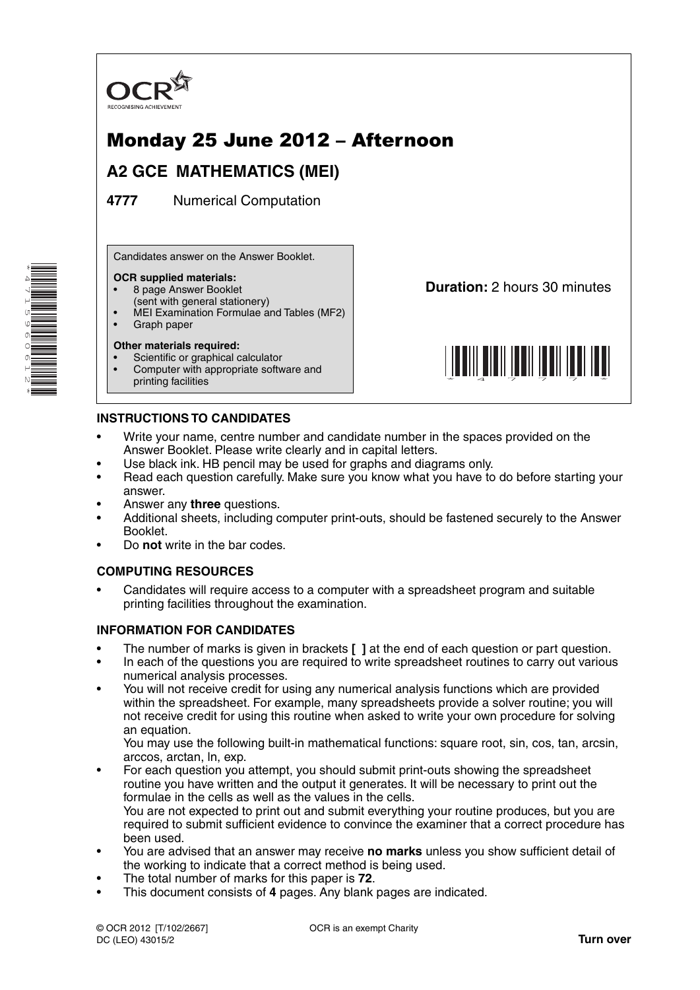

# Monday 25 June 2012 – Afternoon

## **A2 GCE MATHEMATICS (MEI)**

**4777** Numerical Computation

Candidates answer on the Answer Booklet.

#### **OCR supplied materials:**

- 8 page Answer Booklet
- (sent with general stationery)
- MEI Examination Formulae and Tables (MF2)
- Graph paper

#### **Other materials required:**

- Scientific or graphical calculator
- Computer with appropriate software and printing facilities

**Duration:** 2 hours 30 minutes



### **INSTRUCTIONS TO CANDIDATES**

- Write your name, centre number and candidate number in the spaces provided on the Answer Booklet. Please write clearly and in capital letters.
- Use black ink. HB pencil may be used for graphs and diagrams only.
- Read each question carefully. Make sure you know what you have to do before starting your answer.
- Answer any **three** questions.
- Additional sheets, including computer print-outs, should be fastened securely to the Answer Booklet.
- Do **not** write in the bar codes.

#### **COMPUTING RESOURCES**

• Candidates will require access to a computer with a spreadsheet program and suitable printing facilities throughout the examination.

#### **INFORMATION FOR CANDIDATES**

- The number of marks is given in brackets **[ ]** at the end of each question or part question.
- In each of the questions you are required to write spreadsheet routines to carry out various numerical analysis processes.
- You will not receive credit for using any numerical analysis functions which are provided within the spreadsheet. For example, many spreadsheets provide a solver routine; you will not receive credit for using this routine when asked to write your own procedure for solving an equation.

 You may use the following built-in mathematical functions: square root, sin, cos, tan, arcsin, arccos, arctan, ln, exp.

• For each question you attempt, you should submit print-outs showing the spreadsheet routine you have written and the output it generates. It will be necessary to print out the formulae in the cells as well as the values in the cells.

 You are not expected to print out and submit everything your routine produces, but you are required to submit sufficient evidence to convince the examiner that a correct procedure has been used.

- You are advised that an answer may receive **no marks** unless you show sufficient detail of the working to indicate that a correct method is being used.
- The total number of marks for this paper is **72**.
- This document consists of **4** pages. Any blank pages are indicated.

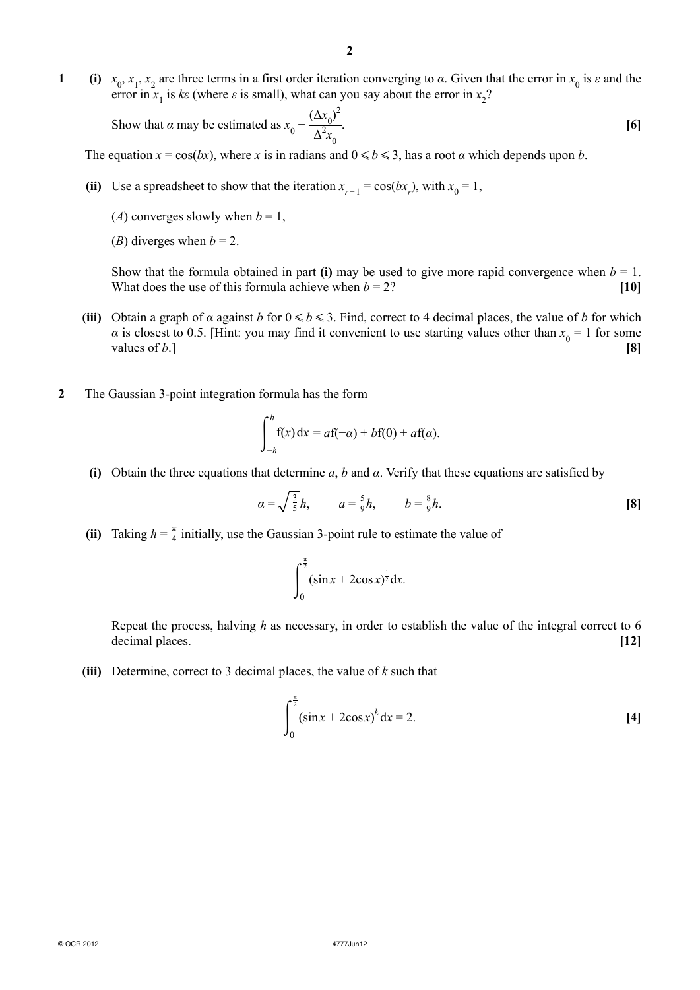**1** (i)  $x_0, x_1, x_2$  are three terms in a first order iteration converging to *α*. Given that the error in  $x_0$  is *ε* and the error in  $x_1$  is  $k\epsilon$  (where  $\epsilon$  is small), what can you say about the error in  $x_2$ ?

Show that *α* may be estimated as  $x_0 - \frac{(\Delta x_0)^2}{\Delta x}$  $\Delta^2 x_0$ . **[6]**

The equation  $x = cos(bx)$ , where *x* is in radians and  $0 \le b \le 3$ , has a root *α* which depends upon *b*.

- (ii) Use a spreadsheet to show that the iteration  $x_{r+1} = \cos(bx_r)$ , with  $x_0 = 1$ ,
	- (*A*) converges slowly when  $b = 1$ ,
	- (*B*) diverges when  $b = 2$ .

Show that the formula obtained in part (i) may be used to give more rapid convergence when  $b = 1$ . What does the use of this formula achieve when  $b = 2$ ? [10]

- **(iii)** Obtain a graph of *α* against *b* for  $0 \le b \le 3$ . Find, correct to 4 decimal places, the value of *b* for which *α* is closest to 0.5. [Hint: you may find it convenient to use starting values other than  $x_0 = 1$  for some values of  $b$ .] **[8] [8]**
- **2** The Gaussian 3-point integration formula has the form

$$
\int_{-h}^{h} f(x) dx = a f(-\alpha) + b f(0) + a f(\alpha).
$$

 **(i)** Obtain the three equations that determine *a*, *b* and *α*. Verify that these equations are satisfied by

$$
\alpha = \sqrt{\frac{3}{5}}h
$$
,  $a = \frac{5}{9}h$ ,  $b = \frac{8}{9}h$ . [8]

**(ii)** Taking  $h = \frac{\pi}{4}$  initially, use the Gaussian 3-point rule to estimate the value of

$$
\int_0^{\frac{\pi}{2}} (\sin x + 2\cos x)^{\frac{1}{2}} dx.
$$

Repeat the process, halving *h* as necessary, in order to establish the value of the integral correct to 6 decimal places. **[12]**

 **(iii)** Determine, correct to 3 decimal places, the value of *k* such that

$$
\int_0^{\frac{\pi}{2}} (\sin x + 2\cos x)^k dx = 2.
$$
 [4]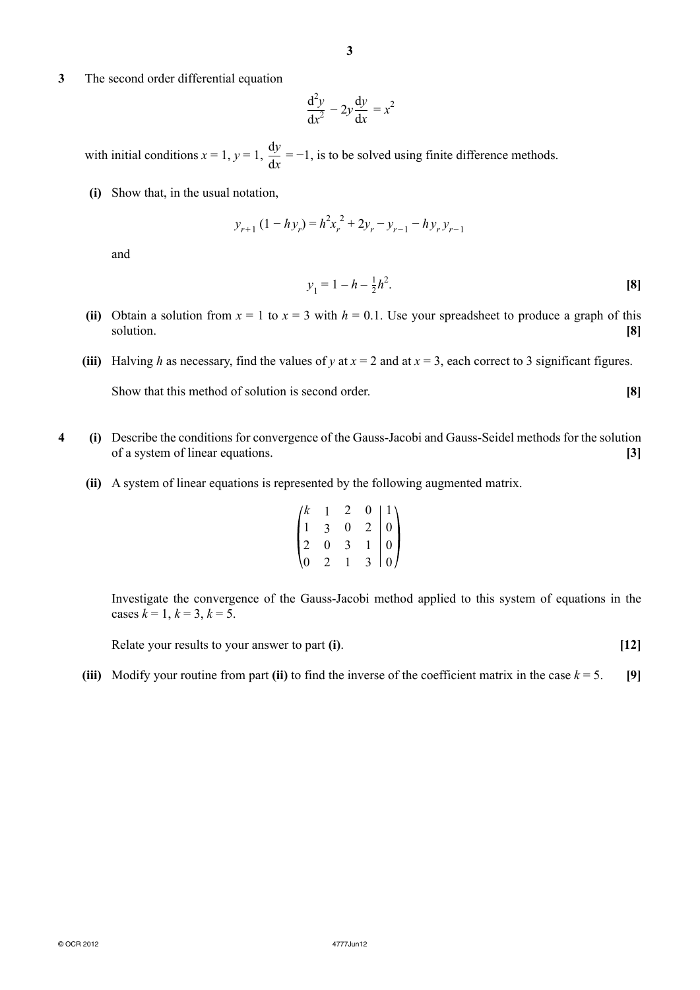**3** The second order differential equation

$$
\frac{d^2y}{dx^2} - 2y\frac{dy}{dx} = x^2
$$

with initial conditions  $x = 1$ ,  $y = 1$ ,  $\frac{dy}{dx} = -1$ , is to be solved using finite difference methods.

 **(i)** Show that, in the usual notation,

$$
y_{r+1} (1 - hy_r) = h^2 x_r^2 + 2y_r - y_{r-1} - hy_r y_{r-1}
$$

and

$$
y_1 = 1 - h - \frac{1}{2}h^2.
$$
 [8]

- **(ii)** Obtain a solution from  $x = 1$  to  $x = 3$  with  $h = 0.1$ . Use your spreadsheet to produce a graph of this solution. **[8]**
- **(iii)** Halving *h* as necessary, find the values of *y* at  $x = 2$  and at  $x = 3$ , each correct to 3 significant figures.

**Show that this method of solution is second order. [8]** 

- **4 (i)** Describe the conditions for convergence of the Gauss-Jacobi and Gauss-Seidel methods for the solution of a system of linear equations. **[3]**
	- **(ii)** A system of linear equations is represented by the following augmented matrix.

$$
\begin{pmatrix} k & 1 & 2 & 0 & | & 1 \\ 1 & 3 & 0 & 2 & | & 0 \\ 2 & 0 & 3 & 1 & | & 0 \\ 0 & 2 & 1 & 3 & | & 0 \end{pmatrix}
$$

Investigate the convergence of the Gauss-Jacobi method applied to this system of equations in the cases  $k = 1, k = 3, k = 5$ .

 **Relate your results to your answer to part (i).** [12]

**(iii)** Modify your routine from part **(ii)** to find the inverse of the coefficient matrix in the case  $k = 5$ . [9]